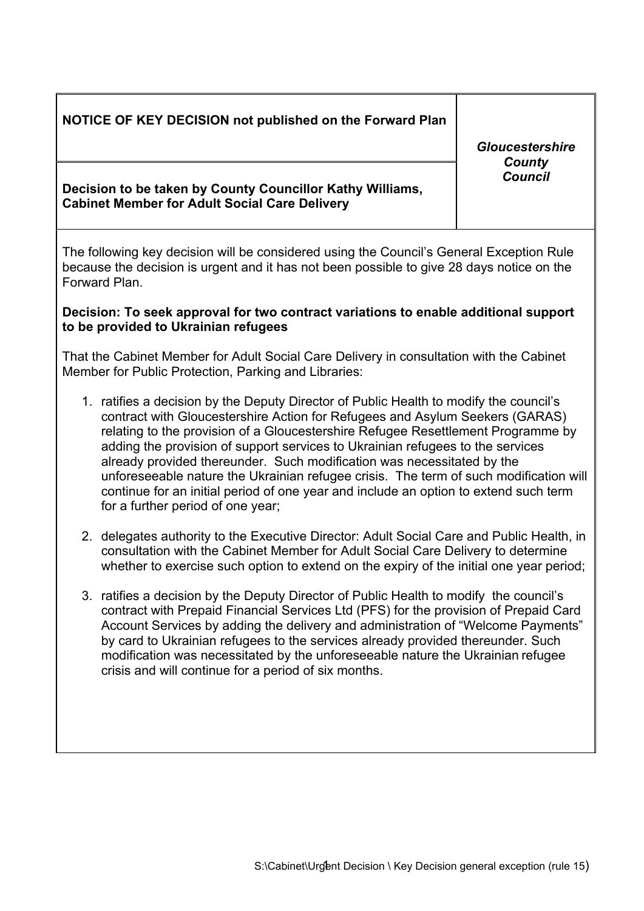# **NOTICE OF KEY DECISION not published on the Forward Plan**

**Decision to be taken by County Councillor Kathy Williams, Cabinet Member for Adult Social Care Delivery**

The following key decision will be considered using the Council's General Exception Rule because the decision is urgent and it has not been possible to give 28 days notice on the Forward Plan.

## **Decision: To seek approval for two contract variations to enable additional support to be provided to Ukrainian refugees**

That the Cabinet Member for Adult Social Care Delivery in consultation with the Cabinet Member for Public Protection, Parking and Libraries:

- 1. ratifies a decision by the Deputy Director of Public Health to modify the council's contract with Gloucestershire Action for Refugees and Asylum Seekers (GARAS) relating to the provision of a Gloucestershire Refugee Resettlement Programme by adding the provision of support services to Ukrainian refugees to the services already provided thereunder. Such modification was necessitated by the unforeseeable nature the Ukrainian refugee crisis. The term of such modification will continue for an initial period of one year and include an option to extend such term for a further period of one year;
- 2. delegates authority to the Executive Director: Adult Social Care and Public Health, in consultation with the Cabinet Member for Adult Social Care Delivery to determine whether to exercise such option to extend on the expiry of the initial one year period;
- 3. ratifies a decision by the Deputy Director of Public Health to modify the council's contract with Prepaid Financial Services Ltd (PFS) for the provision of Prepaid Card Account Services by adding the delivery and administration of "Welcome Payments" by card to Ukrainian refugees to the services already provided thereunder. Such modification was necessitated by the unforeseeable nature the Ukrainian refugee crisis and will continue for a period of six months.